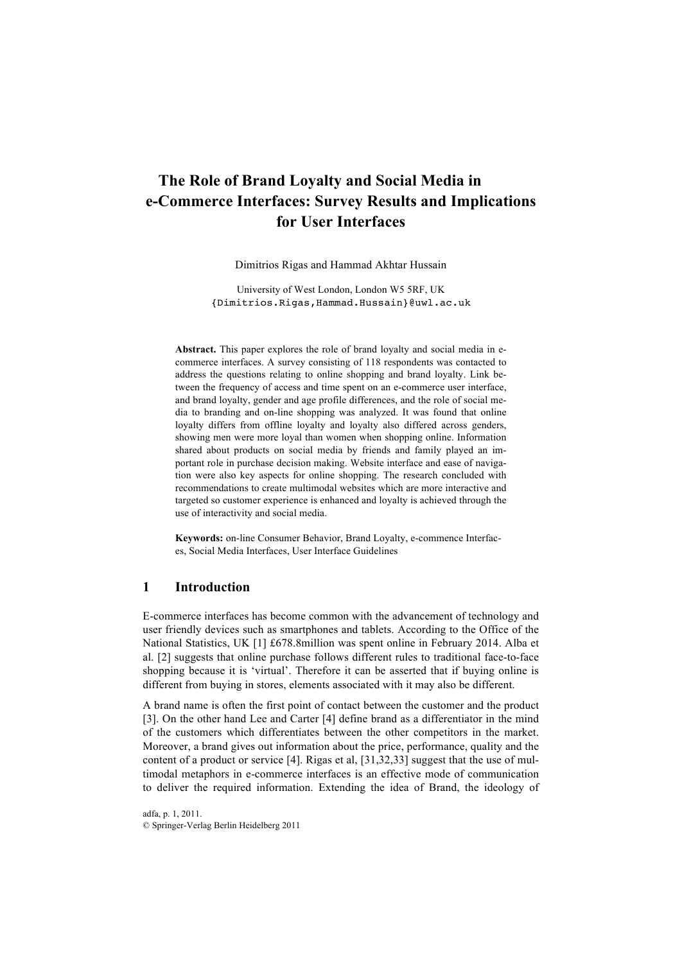# **The Role of Brand Loyalty and Social Media in e-Commerce Interfaces: Survey Results and Implications for User Interfaces**

Dimitrios Rigas and Hammad Akhtar Hussain

University of West London, London W5 5RF, UK {Dimitrios.Rigas,Hammad.Hussain}@uwl.ac.uk

**Abstract.** This paper explores the role of brand loyalty and social media in ecommerce interfaces. A survey consisting of 118 respondents was contacted to address the questions relating to online shopping and brand loyalty. Link between the frequency of access and time spent on an e-commerce user interface, and brand loyalty, gender and age profile differences, and the role of social media to branding and on-line shopping was analyzed. It was found that online loyalty differs from offline loyalty and loyalty also differed across genders, showing men were more loyal than women when shopping online. Information shared about products on social media by friends and family played an important role in purchase decision making. Website interface and ease of navigation were also key aspects for online shopping. The research concluded with recommendations to create multimodal websites which are more interactive and targeted so customer experience is enhanced and loyalty is achieved through the use of interactivity and social media.

**Keywords:** on-line Consumer Behavior, Brand Loyalty, e-commence Interfaces, Social Media Interfaces, User Interface Guidelines

### **1 Introduction**

E-commerce interfaces has become common with the advancement of technology and user friendly devices such as smartphones and tablets. According to the Office of the National Statistics, UK [1] £678.8million was spent online in February 2014. Alba et al. [2] suggests that online purchase follows different rules to traditional face-to-face shopping because it is 'virtual'. Therefore it can be asserted that if buying online is different from buying in stores, elements associated with it may also be different.

A brand name is often the first point of contact between the customer and the product [3]. On the other hand Lee and Carter [4] define brand as a differentiator in the mind of the customers which differentiates between the other competitors in the market. Moreover, a brand gives out information about the price, performance, quality and the content of a product or service [4]. Rigas et al, [31,32,33] suggest that the use of multimodal metaphors in e-commerce interfaces is an effective mode of communication to deliver the required information. Extending the idea of Brand, the ideology of

adfa, p. 1, 2011. © Springer-Verlag Berlin Heidelberg 2011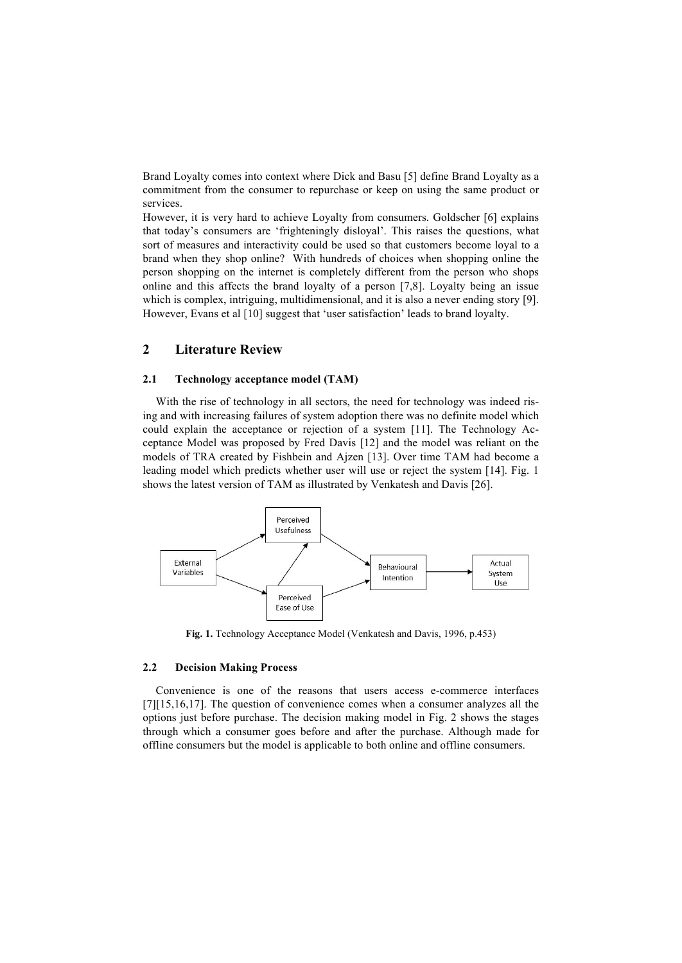Brand Loyalty comes into context where Dick and Basu [5] define Brand Loyalty as a commitment from the consumer to repurchase or keep on using the same product or services.

However, it is very hard to achieve Loyalty from consumers. Goldscher [6] explains that today's consumers are 'frighteningly disloyal'. This raises the questions, what sort of measures and interactivity could be used so that customers become loyal to a brand when they shop online? With hundreds of choices when shopping online the person shopping on the internet is completely different from the person who shops online and this affects the brand loyalty of a person [7,8]. Loyalty being an issue which is complex, intriguing, multidimensional, and it is also a never ending story [9]. However, Evans et al [10] suggest that 'user satisfaction' leads to brand loyalty.

### **2 Literature Review**

### **2.1 Technology acceptance model (TAM)**

With the rise of technology in all sectors, the need for technology was indeed rising and with increasing failures of system adoption there was no definite model which could explain the acceptance or rejection of a system [11]. The Technology Acceptance Model was proposed by Fred Davis [12] and the model was reliant on the models of TRA created by Fishbein and Ajzen [13]. Over time TAM had become a leading model which predicts whether user will use or reject the system [14]. Fig. 1 shows the latest version of TAM as illustrated by Venkatesh and Davis [26].



**Fig. 1.** Technology Acceptance Model (Venkatesh and Davis, 1996, p.453)

#### **2.2 Decision Making Process**

Convenience is one of the reasons that users access e-commerce interfaces [7][15,16,17]. The question of convenience comes when a consumer analyzes all the options just before purchase. The decision making model in Fig. 2 shows the stages through which a consumer goes before and after the purchase. Although made for offline consumers but the model is applicable to both online and offline consumers.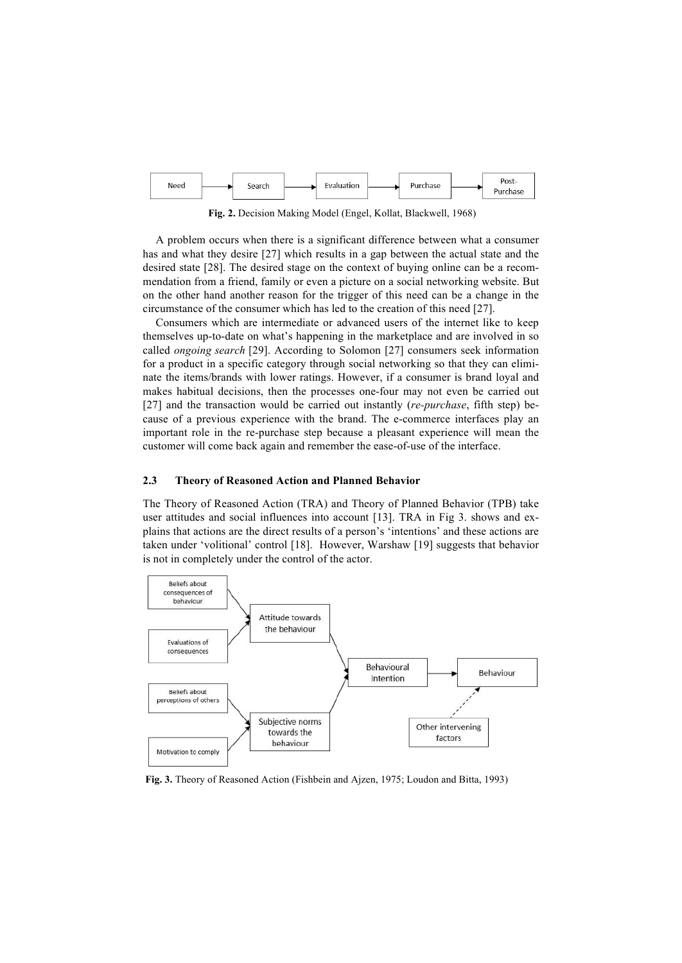

**Fig. 2.** Decision Making Model (Engel, Kollat, Blackwell, 1968)

A problem occurs when there is a significant difference between what a consumer has and what they desire [27] which results in a gap between the actual state and the desired state [28]. The desired stage on the context of buying online can be a recommendation from a friend, family or even a picture on a social networking website. But on the other hand another reason for the trigger of this need can be a change in the circumstance of the consumer which has led to the creation of this need [27].

Consumers which are intermediate or advanced users of the internet like to keep themselves up-to-date on what's happening in the marketplace and are involved in so called *ongoing search* [29]. According to Solomon [27] consumers seek information for a product in a specific category through social networking so that they can eliminate the items/brands with lower ratings. However, if a consumer is brand loyal and makes habitual decisions, then the processes one-four may not even be carried out [27] and the transaction would be carried out instantly (*re-purchase*, fifth step) because of a previous experience with the brand. The e-commerce interfaces play an important role in the re-purchase step because a pleasant experience will mean the customer will come back again and remember the ease-of-use of the interface.

### **2.3 Theory of Reasoned Action and Planned Behavior**

The Theory of Reasoned Action (TRA) and Theory of Planned Behavior (TPB) take user attitudes and social influences into account [13]. TRA in Fig 3. shows and explains that actions are the direct results of a person's 'intentions' and these actions are taken under 'volitional' control [18]. However, Warshaw [19] suggests that behavior is not in completely under the control of the actor.



**Fig. 3.** Theory of Reasoned Action (Fishbein and Ajzen, 1975; Loudon and Bitta, 1993)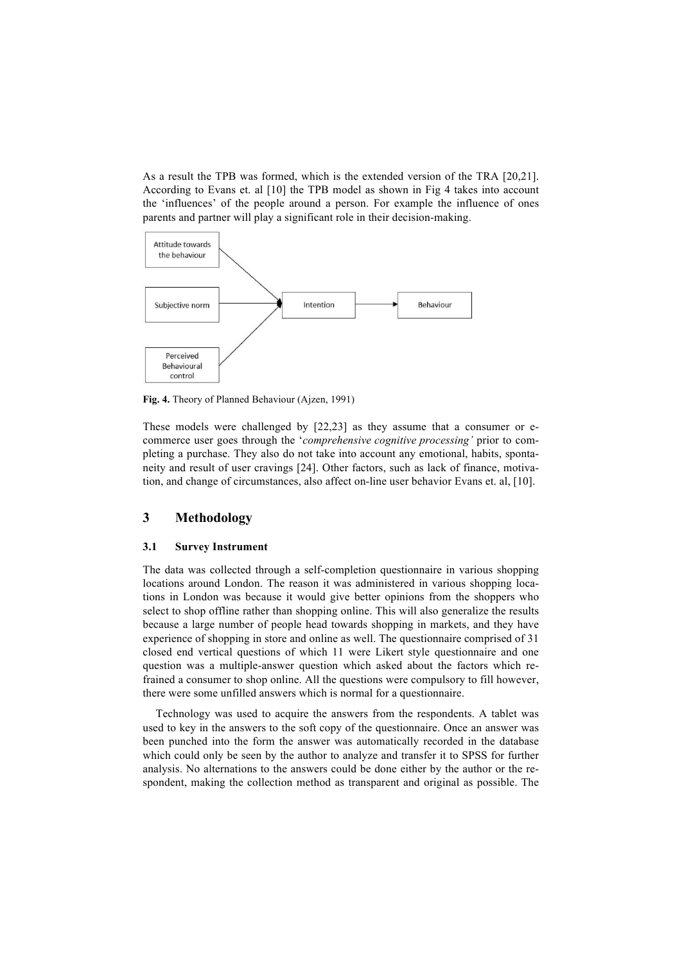As a result the TPB was formed, which is the extended version of the TRA [20,21]. According to Evans et. al [10] the TPB model as shown in Fig 4 takes into account the 'influences' of the people around a person. For example the influence of ones parents and partner will play a significant role in their decision-making.



**Fig. 4.** Theory of Planned Behaviour (Ajzen, 1991)

These models were challenged by [22,23] as they assume that a consumer or ecommerce user goes through the '*comprehensive cognitive processing'* prior to completing a purchase. They also do not take into account any emotional, habits, spontaneity and result of user cravings [24]. Other factors, such as lack of finance, motivation, and change of circumstances, also affect on-line user behavior Evans et. al, [10].

### **3 Methodology**

#### **3.1 Survey Instrument**

The data was collected through a self-completion questionnaire in various shopping locations around London. The reason it was administered in various shopping locations in London was because it would give better opinions from the shoppers who select to shop offline rather than shopping online. This will also generalize the results because a large number of people head towards shopping in markets, and they have experience of shopping in store and online as well. The questionnaire comprised of 31 closed end vertical questions of which 11 were Likert style questionnaire and one question was a multiple-answer question which asked about the factors which refrained a consumer to shop online. All the questions were compulsory to fill however, there were some unfilled answers which is normal for a questionnaire.

Technology was used to acquire the answers from the respondents. A tablet was used to key in the answers to the soft copy of the questionnaire. Once an answer was been punched into the form the answer was automatically recorded in the database which could only be seen by the author to analyze and transfer it to SPSS for further analysis. No alternations to the answers could be done either by the author or the respondent, making the collection method as transparent and original as possible. The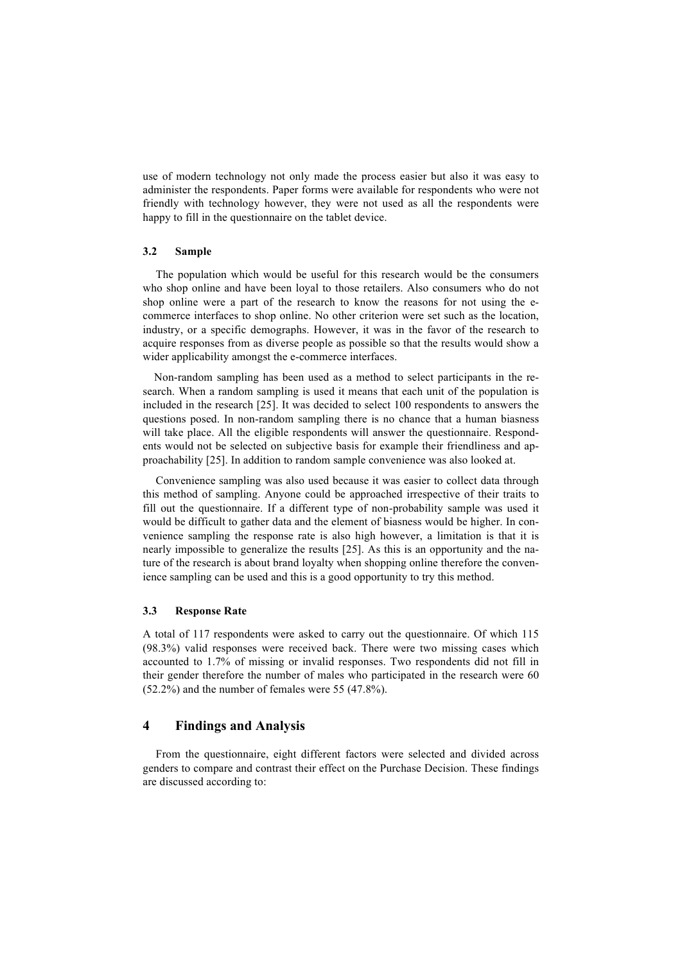use of modern technology not only made the process easier but also it was easy to administer the respondents. Paper forms were available for respondents who were not friendly with technology however, they were not used as all the respondents were happy to fill in the questionnaire on the tablet device.

### **3.2 Sample**

The population which would be useful for this research would be the consumers who shop online and have been loyal to those retailers. Also consumers who do not shop online were a part of the research to know the reasons for not using the ecommerce interfaces to shop online. No other criterion were set such as the location, industry, or a specific demographs. However, it was in the favor of the research to acquire responses from as diverse people as possible so that the results would show a wider applicability amongst the e-commerce interfaces.

 Non-random sampling has been used as a method to select participants in the research. When a random sampling is used it means that each unit of the population is included in the research [25]. It was decided to select 100 respondents to answers the questions posed. In non-random sampling there is no chance that a human biasness will take place. All the eligible respondents will answer the questionnaire. Respondents would not be selected on subjective basis for example their friendliness and approachability [25]. In addition to random sample convenience was also looked at.

Convenience sampling was also used because it was easier to collect data through this method of sampling. Anyone could be approached irrespective of their traits to fill out the questionnaire. If a different type of non-probability sample was used it would be difficult to gather data and the element of biasness would be higher. In convenience sampling the response rate is also high however, a limitation is that it is nearly impossible to generalize the results [25]. As this is an opportunity and the nature of the research is about brand loyalty when shopping online therefore the convenience sampling can be used and this is a good opportunity to try this method.

### **3.3 Response Rate**

A total of 117 respondents were asked to carry out the questionnaire. Of which 115 (98.3%) valid responses were received back. There were two missing cases which accounted to 1.7% of missing or invalid responses. Two respondents did not fill in their gender therefore the number of males who participated in the research were 60 (52.2%) and the number of females were 55 (47.8%).

### **4 Findings and Analysis**

From the questionnaire, eight different factors were selected and divided across genders to compare and contrast their effect on the Purchase Decision. These findings are discussed according to: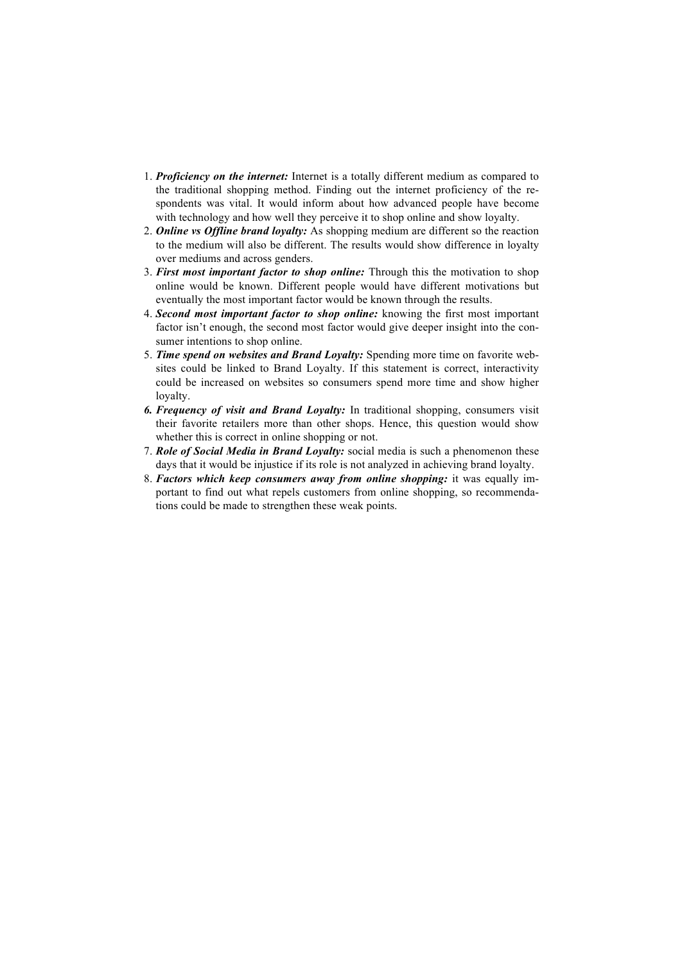- 1. *Proficiency on the internet:* Internet is a totally different medium as compared to the traditional shopping method. Finding out the internet proficiency of the respondents was vital. It would inform about how advanced people have become with technology and how well they perceive it to shop online and show loyalty.
- 2. *Online vs Offline brand loyalty:* As shopping medium are different so the reaction to the medium will also be different. The results would show difference in loyalty over mediums and across genders.
- 3. *First most important factor to shop online:* Through this the motivation to shop online would be known. Different people would have different motivations but eventually the most important factor would be known through the results.
- 4. *Second most important factor to shop online:* knowing the first most important factor isn't enough, the second most factor would give deeper insight into the consumer intentions to shop online.
- 5. *Time spend on websites and Brand Loyalty:* Spending more time on favorite websites could be linked to Brand Loyalty. If this statement is correct, interactivity could be increased on websites so consumers spend more time and show higher loyalty.
- *6. Frequency of visit and Brand Loyalty:* In traditional shopping, consumers visit their favorite retailers more than other shops. Hence, this question would show whether this is correct in online shopping or not.
- 7. *Role of Social Media in Brand Loyalty:* social media is such a phenomenon these days that it would be injustice if its role is not analyzed in achieving brand loyalty.
- 8. *Factors which keep consumers away from online shopping:* it was equally important to find out what repels customers from online shopping, so recommendations could be made to strengthen these weak points.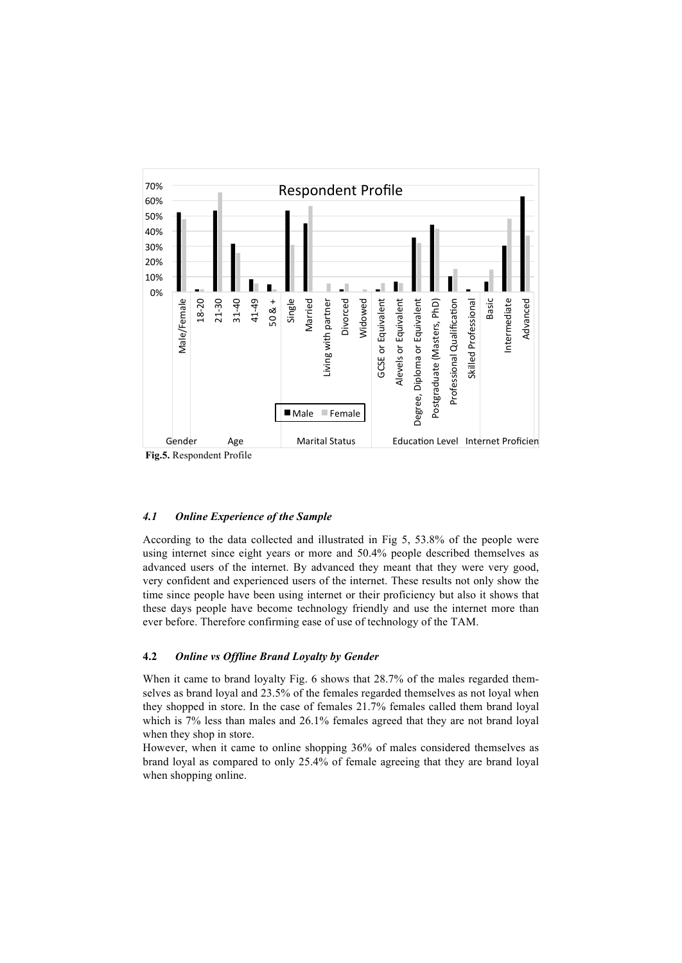

**Fig.5.** Respondent Profile

### *4.1 Online Experience of the Sample*

According to the data collected and illustrated in Fig 5, 53.8% of the people were using internet since eight years or more and 50.4% people described themselves as advanced users of the internet. By advanced they meant that they were very good, very confident and experienced users of the internet. These results not only show the time since people have been using internet or their proficiency but also it shows that these days people have become technology friendly and use the internet more than ever before. Therefore confirming ease of use of technology of the TAM.

### **4.2** *Online vs Offline Brand Loyalty by Gender*

When it came to brand loyalty Fig. 6 shows that 28.7% of the males regarded themselves as brand loyal and 23.5% of the females regarded themselves as not loyal when they shopped in store. In the case of females 21.7% females called them brand loyal which is 7% less than males and 26.1% females agreed that they are not brand loyal when they shop in store.

However, when it came to online shopping 36% of males considered themselves as brand loyal as compared to only 25.4% of female agreeing that they are brand loyal when shopping online.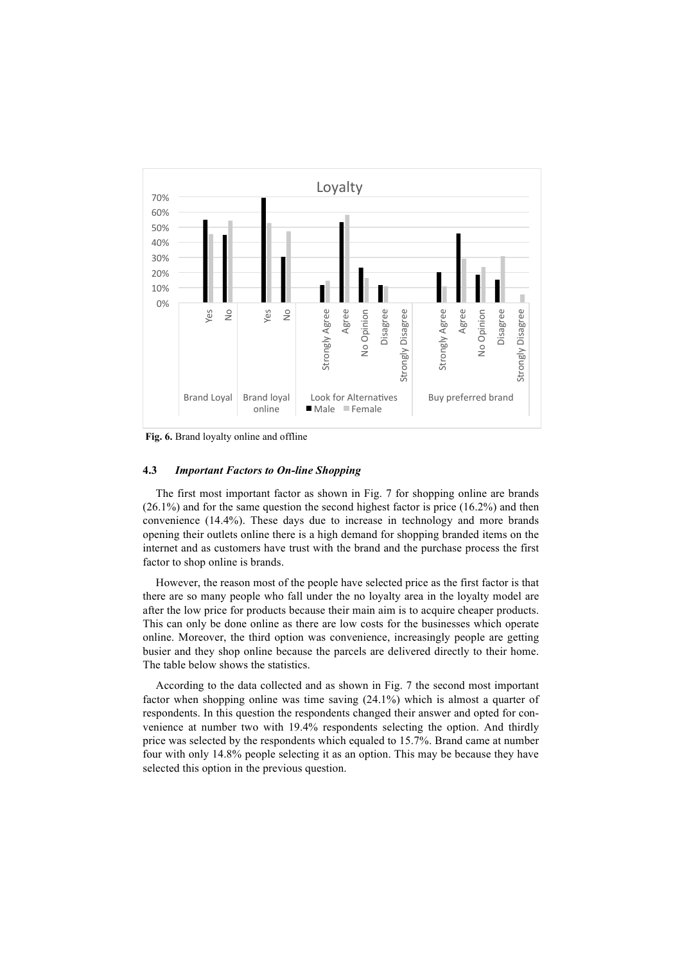

**Fig. 6.** Brand loyalty online and offline

### **4.3** *Important Factors to On-line Shopping*

The first most important factor as shown in Fig. 7 for shopping online are brands  $(26.1\%)$  and for the same question the second highest factor is price  $(16.2\%)$  and then convenience (14.4%). These days due to increase in technology and more brands opening their outlets online there is a high demand for shopping branded items on the internet and as customers have trust with the brand and the purchase process the first factor to shop online is brands.

However, the reason most of the people have selected price as the first factor is that there are so many people who fall under the no loyalty area in the loyalty model are after the low price for products because their main aim is to acquire cheaper products. This can only be done online as there are low costs for the businesses which operate online. Moreover, the third option was convenience, increasingly people are getting busier and they shop online because the parcels are delivered directly to their home. The table below shows the statistics.

According to the data collected and as shown in Fig. 7 the second most important factor when shopping online was time saving (24.1%) which is almost a quarter of respondents. In this question the respondents changed their answer and opted for convenience at number two with 19.4% respondents selecting the option. And thirdly price was selected by the respondents which equaled to 15.7%. Brand came at number four with only 14.8% people selecting it as an option. This may be because they have selected this option in the previous question.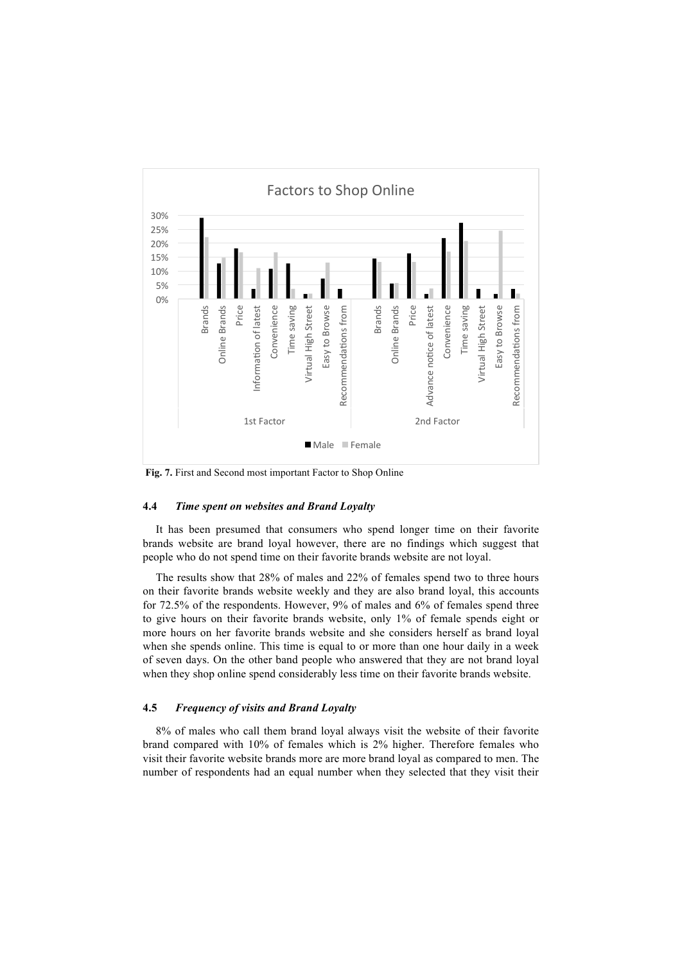

**Fig. 7.** First and Second most important Factor to Shop Online

#### **4.4** *Time spent on websites and Brand Loyalty*

It has been presumed that consumers who spend longer time on their favorite brands website are brand loyal however, there are no findings which suggest that people who do not spend time on their favorite brands website are not loyal.

The results show that 28% of males and 22% of females spend two to three hours on their favorite brands website weekly and they are also brand loyal, this accounts for 72.5% of the respondents. However, 9% of males and 6% of females spend three to give hours on their favorite brands website, only 1% of female spends eight or more hours on her favorite brands website and she considers herself as brand loyal when she spends online. This time is equal to or more than one hour daily in a week of seven days. On the other band people who answered that they are not brand loyal when they shop online spend considerably less time on their favorite brands website.

#### **4.5** *Frequency of visits and Brand Loyalty*

8% of males who call them brand loyal always visit the website of their favorite brand compared with 10% of females which is 2% higher. Therefore females who visit their favorite website brands more are more brand loyal as compared to men. The number of respondents had an equal number when they selected that they visit their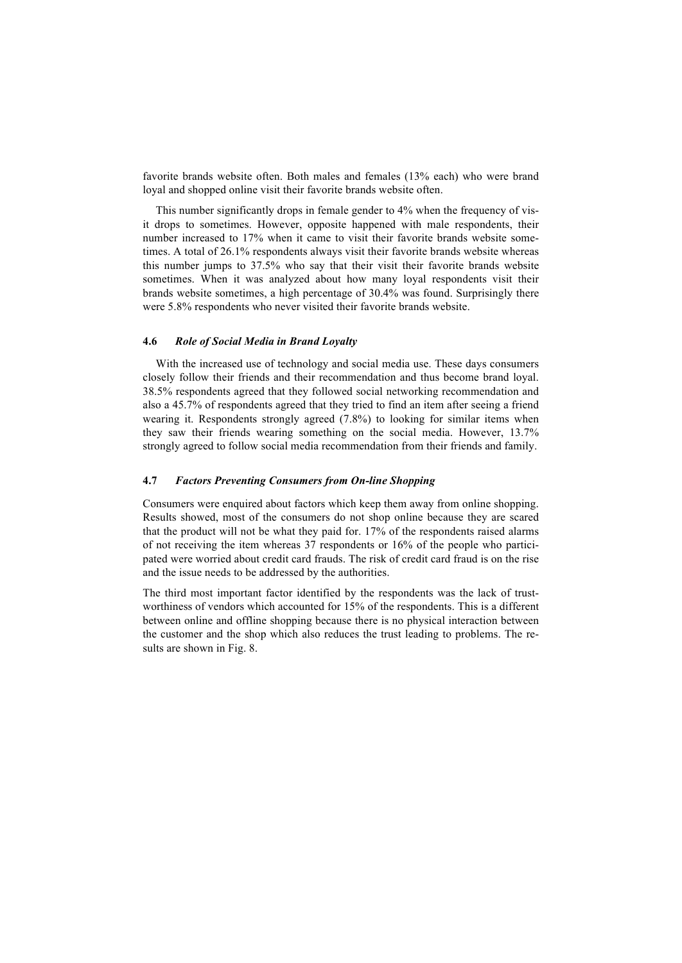favorite brands website often. Both males and females (13% each) who were brand loyal and shopped online visit their favorite brands website often.

This number significantly drops in female gender to 4% when the frequency of visit drops to sometimes. However, opposite happened with male respondents, their number increased to 17% when it came to visit their favorite brands website sometimes. A total of 26.1% respondents always visit their favorite brands website whereas this number jumps to 37.5% who say that their visit their favorite brands website sometimes. When it was analyzed about how many loyal respondents visit their brands website sometimes, a high percentage of 30.4% was found. Surprisingly there were 5.8% respondents who never visited their favorite brands website.

### **4.6** *Role of Social Media in Brand Loyalty*

With the increased use of technology and social media use. These days consumers closely follow their friends and their recommendation and thus become brand loyal. 38.5% respondents agreed that they followed social networking recommendation and also a 45.7% of respondents agreed that they tried to find an item after seeing a friend wearing it. Respondents strongly agreed (7.8%) to looking for similar items when they saw their friends wearing something on the social media. However, 13.7% strongly agreed to follow social media recommendation from their friends and family.

### **4.7** *Factors Preventing Consumers from On-line Shopping*

Consumers were enquired about factors which keep them away from online shopping. Results showed, most of the consumers do not shop online because they are scared that the product will not be what they paid for. 17% of the respondents raised alarms of not receiving the item whereas 37 respondents or 16% of the people who participated were worried about credit card frauds. The risk of credit card fraud is on the rise and the issue needs to be addressed by the authorities.

The third most important factor identified by the respondents was the lack of trustworthiness of vendors which accounted for 15% of the respondents. This is a different between online and offline shopping because there is no physical interaction between the customer and the shop which also reduces the trust leading to problems. The results are shown in Fig. 8.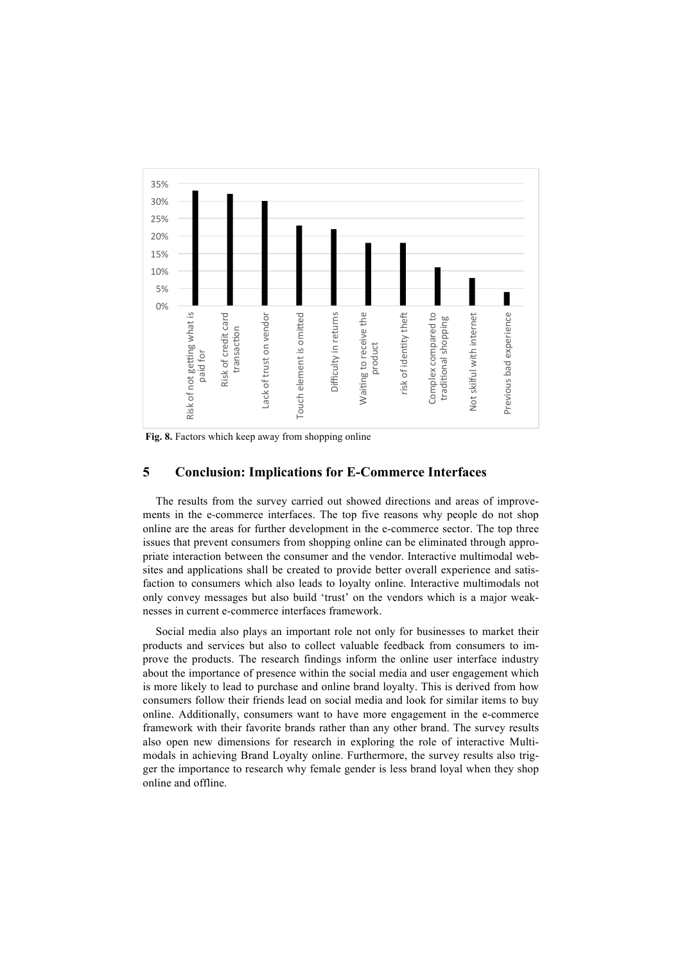

Fig. 8. Factors which keep away from shopping online

### **5 Conclusion: Implications for E-Commerce Interfaces**

The results from the survey carried out showed directions and areas of improvements in the e-commerce interfaces. The top five reasons why people do not shop online are the areas for further development in the e-commerce sector. The top three issues that prevent consumers from shopping online can be eliminated through appropriate interaction between the consumer and the vendor. Interactive multimodal websites and applications shall be created to provide better overall experience and satisfaction to consumers which also leads to loyalty online. Interactive multimodals not only convey messages but also build 'trust' on the vendors which is a major weaknesses in current e-commerce interfaces framework.

Social media also plays an important role not only for businesses to market their products and services but also to collect valuable feedback from consumers to improve the products. The research findings inform the online user interface industry about the importance of presence within the social media and user engagement which is more likely to lead to purchase and online brand loyalty. This is derived from how consumers follow their friends lead on social media and look for similar items to buy online. Additionally, consumers want to have more engagement in the e-commerce framework with their favorite brands rather than any other brand. The survey results also open new dimensions for research in exploring the role of interactive Multimodals in achieving Brand Loyalty online. Furthermore, the survey results also trigger the importance to research why female gender is less brand loyal when they shop online and offline.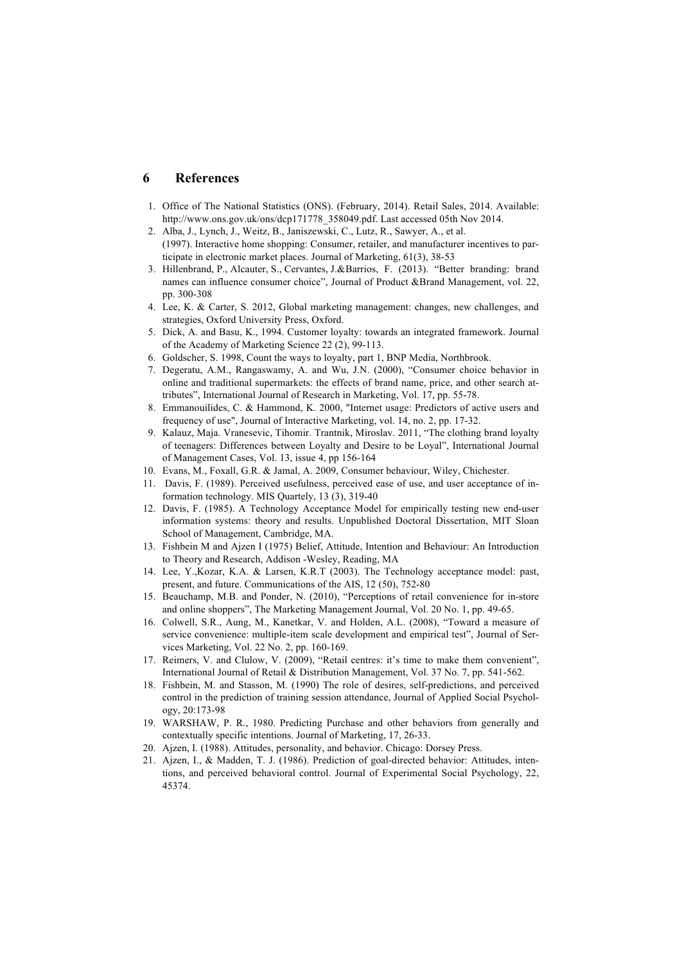## **6 References**

- 1. Office of The National Statistics (ONS). (February, 2014). Retail Sales, 2014. Available: http://www.ons.gov.uk/ons/dcp171778\_358049.pdf. Last accessed 05th Nov 2014.
- 2. Alba, J., Lynch, J., Weitz, B., Janiszewski, C., Lutz, R., Sawyer, A., et al. (1997). Interactive home shopping: Consumer, retailer, and manufacturer incentives to participate in electronic market places. Journal of Marketing, 61(3), 38-53
- 3. Hillenbrand, P., Alcauter, S., Cervantes, J.&Barrios, F. (2013). "Better branding: brand names can influence consumer choice", Journal of Product &Brand Management, vol. 22, pp. 300-308
- 4. Lee, K. & Carter, S. 2012, Global marketing management: changes, new challenges, and strategies, Oxford University Press, Oxford.
- 5. Dick, A. and Basu, K., 1994. Customer loyalty: towards an integrated framework. Journal of the Academy of Marketing Science 22 (2), 99-113.
- 6. Goldscher, S. 1998, Count the ways to loyalty, part 1, BNP Media, Northbrook.
- 7. Degeratu, A.M., Rangaswamy, A. and Wu, J.N. (2000), "Consumer choice behavior in online and traditional supermarkets: the effects of brand name, price, and other search attributes", International Journal of Research in Marketing, Vol. 17, pp. 55-78.
- 8. Emmanouilides, C. & Hammond, K. 2000, "Internet usage: Predictors of active users and frequency of use", Journal of Interactive Marketing, vol. 14, no. 2, pp. 17-32.
- 9. Kalauz, Maja. Vranesevic, Tihomir. Trantnik, Miroslav. 2011, "The clothing brand loyalty of teenagers: Differences between Loyalty and Desire to be Loyal", International Journal of Management Cases, Vol. 13, issue 4, pp 156-164
- 10. Evans, M., Foxall, G.R. & Jamal, A. 2009, Consumer behaviour, Wiley, Chichester.
- 11. Davis, F. (1989). Perceived usefulness, perceived ease of use, and user acceptance of information technology. MIS Quartely, 13 (3), 319-40
- 12. Davis, F. (1985). A Technology Acceptance Model for empirically testing new end-user information systems: theory and results. Unpublished Doctoral Dissertation, MIT Sloan School of Management, Cambridge, MA.
- 13. Fishbein M and Ajzen I (1975) Belief, Attitude, Intention and Behaviour: An Introduction to Theory and Research, Addison -Wesley, Reading, MA
- 14. Lee, Y.,Kozar, K.A. & Larsen, K.R.T (2003). The Technology acceptance model: past, present, and future. Communications of the AIS, 12 (50), 752-80
- 15. Beauchamp, M.B. and Ponder, N. (2010), "Perceptions of retail convenience for in-store and online shoppers", The Marketing Management Journal, Vol. 20 No. 1, pp. 49-65.
- 16. Colwell, S.R., Aung, M., Kanetkar, V. and Holden, A.L. (2008), "Toward a measure of service convenience: multiple-item scale development and empirical test", Journal of Services Marketing, Vol. 22 No. 2, pp. 160-169.
- 17. Reimers, V. and Clulow, V. (2009), "Retail centres: it's time to make them convenient", International Journal of Retail & Distribution Management, Vol. 37 No. 7, pp. 541-562.
- 18. Fishbein, M. and Stasson, M. (1990) The role of desires, self-predictions, and perceived control in the prediction of training session attendance, Journal of Applied Social Psychology, 20:173-98
- 19. WARSHAW, P. R., 1980. Predicting Purchase and other behaviors from generally and contextually specific intentions. Journal of Marketing, 17, 26-33.
- 20. Ajzen, I. (1988). Attitudes, personality, and behavior. Chicago: Dorsey Press.
- 21. Ajzen, I., & Madden, T. J. (1986). Prediction of goal-directed behavior: Attitudes, intentions, and perceived behavioral control. Journal of Experimental Social Psychology, 22, 45374.